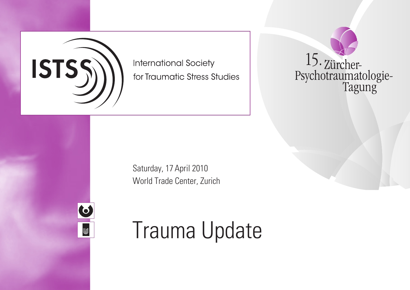

**International Society** for Traumatic Stress Studies



Saturday, 17 April 2010 World Trade Center, Zurich



# **Trauma Update**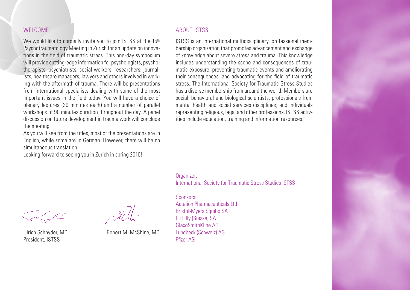## WELCOME

We would like to cordially invite you to join ISTSS at the 15<sup>th</sup> Psychotraumatology Meeting in Zurich for an update on innovations in the field of traumatic stress. This one-day symposium will provide cutting-edge information for psychologists, psychotherapists, psychiatrists, social workers, researchers, journalists, healthcare managers, lawyers and others involved in working with the aftermath of trauma. There will be presentations from international specialists dealing with some of the most important issues in the field today. You will have a choice of plenary lectures (30 minutes each) and a number of parallel workshops of 90 minutes duration throughout the day. A panel discussion on future development in trauma work will conclude the meeting.

As you will see from the titles, most of the presentations are in English, while some are in German. However, there will be no simultaneous translation.

Looking forward to seeing you in Zurich in spring 2010!

#### ABOUT ISTSS

ISTSS is an international multidisciplinary, professional membership organization that promotes advancement and exchange of knowledge about severe stress and trauma. This knowledge includes understanding the scope and consequences of traumatic exposure, preventing traumatic events and ameliorating their consequences, and advocating for the field of traumatic stress. The International Society for Traumatic Stress Studies has a diverse membership from around the world. Members are social, behavioral and biological scientists; professionals from mental health and social services disciplines; and individuals representing religious, legal and other professions. ISTSS activities include education, training and information resources.

Organizer: International Society for Traumatic Stress Studies ISTSS

Sponsors: Actelion Pharmaceuticals Ltd Bristol-Myers Squibb SA Eli Lilly (Suisse) SA GlaxoSmithKline AG Lundbeck (Schweiz) AG Pfizer AG

Solfe

President, ISTSS

Ulrich Schnyder, MD Robert M. McShine, MD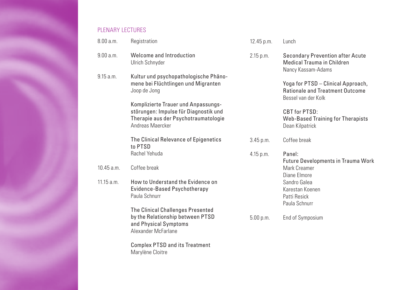# PLENARY LECTURES

Marylène Cloitre

| 8.00 a.m.    | Registration                                                                                                                             | 12.45 p.m.  | Lunch                                                                                               |
|--------------|------------------------------------------------------------------------------------------------------------------------------------------|-------------|-----------------------------------------------------------------------------------------------------|
| 9.00 a.m.    | Welcome and Introduction<br>Ulrich Schnyder                                                                                              | 2.15 p.m.   | <b>Secondary Prevention after Acute</b><br>Medical Trauma in Children<br>Nancy Kassam-Adams         |
| 9.15 a.m.    | Kultur und psychopathologische Phäno-<br>mene bei Flüchtlingen und Migranten<br>Joop de Jong                                             |             | Yoga for PTSD - Clinical Approach,<br><b>Rationale and Treatment Outcome</b><br>Bessel van der Kolk |
|              | Komplizierte Trauer und Anpassungs-<br>störungen: Impulse für Diagnostik und<br>Therapie aus der Psychotraumatologie<br>Andreas Maercker |             | CBT for PTSD:<br>Web-Based Training for Therapists<br>Dean Kilpatrick                               |
|              | The Clinical Relevance of Epigenetics<br>to PTSD                                                                                         | 3.45 p.m.   | Coffee break                                                                                        |
|              | Rachel Yehuda                                                                                                                            | $4.15$ p.m. | Panel:<br><b>Future Developments in Trauma Work</b>                                                 |
| $10.45$ a.m. | Coffee break                                                                                                                             |             | Mark Creamer<br>Diane Elmore                                                                        |
| 11.15 a.m.   | How to Understand the Evidence on<br>Evidence-Based Psychotherapy<br>Paula Schnurr                                                       |             | Sandro Galea<br>Karestan Koenen<br>Patti Resick<br>Paula Schnurr                                    |
|              | <b>The Clinical Challenges Presented</b><br>by the Relationship between PTSD<br>and Physical Symptoms<br>Alexander McFarlane             | 5.00 p.m.   | End of Symposium                                                                                    |
|              | <b>Complex PTSD and its Treatment</b>                                                                                                    |             |                                                                                                     |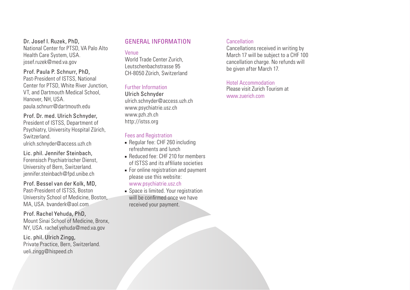#### Dr. Josef I. Ruzek, PhD, National Center for PTSD, VA Palo Alto Health Care System, USA. josef.ruzek@med.va.gov

Prof. Paula P. Schnurr, PhD, Past-President of ISTSS, National Center for PTSD, White River Junction, VT, and Dartmouth Medical School, Hanover, NH, USA. paula.schnurr@dartmouth.edu

## Prof. Dr. med. Ulrich Schnyder,

President of ISTSS, Department of Psychiatry, University Hospital Zürich, Switzerland. ulrich.schnyder@access.uzh.ch

Lic. phil. Jennifer Steinbach, Forensisch Psychiatrischer Dienst, University of Bern, Switzerland. jennifer.steinbach@fpd.unibe.ch

Prof. Bessel van der Kolk, MD, Past-President of ISTSS, Boston University School of Medicine, Boston, MA, USA. bvanderk@aol.com

#### Prof. Rachel Yehuda, PhD,

Mount Sinai School of Medicine, Bronx, NY, USA. rachel.yehuda@med.va.gov

Lic. phil. Ulrich Zingg, Private Practice, Bern, Switzerland. ueli.zingg@hispeed.ch

# General Information

#### Venue

World Trade Center Zurich, Leutschenbachstrasse 95 CH-8050 Zürich, Switzerland

#### Further Information

Ulrich Schnyder ulrich.schnyder@access.uzh.ch www.psychiatrie.usz.ch www.pzh.zh.ch http://istss.org

#### Fees and Registration

- Regular fee: CHF 260 including refreshments and lunch
- **Reduced fee: CHF 210 for members** of ISTSS and its affiliate societies
- For online registration and payment please use this website: www.psychiatrie.usz.ch
- Space is limited. Your registration will be confirmed once we have received your payment.

#### Cancellation

Cancellations received in writing by March 17 will be subject to a CHF 100 cancellation charge. No refunds will be given after March 17.

# Hotel Accommodation

Please visit Zurich Tourism at www.zuerich.com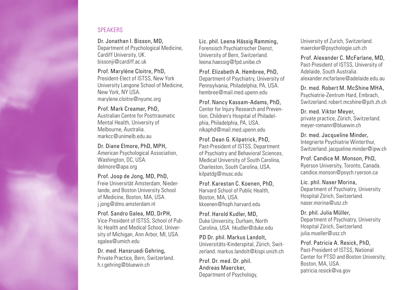# **SPEAKERS**

Dr. Jonathan I. Bisson, MD, Department of Psychological Medicine, Cardiff University, UK. bissonji@cardiff.ac.uk

Prof. Marylène Cloitre, PhD, President-Elect of ISTSS, New York University Langone School of Medicine, New York, NY USA. marylene.cloitre@nyumc.org

#### Prof. Mark Creamer, PhD, Australian Centre for Posttraumatic Mental Health, University of Melbourne, Australia. markcc@unimelb.edu.au

Dr. Diane Elmore, PhD, MPH, American Psychological Association, Washington, DC, USA. delmore@apa.org

#### Prof. Joop de Jong, MD, PhD, Freie Universität Amsterdam, Niederlande, and Boston University School of Medicine, Boston, MA, USA. j.jong@dmo.amsterdam.nl

Prof. Sandro Galea, MD, DrPH, Vice-President of ISTSS, School of Public Health and Medical School, University of Michigan, Ann Arbor, MI, USA. sgalea@umich.edu

Dr. med. Hansruedi Gehring, Private Practice, Bern, Switzerland. h.r.gehring@bluewin.ch

Lic. phil. Leena Hässig Ramming, Forensisch Psychiatrischer Dienst, University of Bern, Switzerland. leena.haessig@fpd.unibe.ch

Prof. Elizabeth A. Hembree, PhD. Department of Psychiatry, University of Pennsylvania, Philadelphia, PA, USA. hembree@mail.med.upenn.edu

Prof. Nancy Kassam-Adams, PhD, Center for Injury Research and Prevention, Children's Hospital of Philadelphia, Philadelphia, PA, USA. nlkaphd@mail.med.upenn.edu

Prof. Dean G. Kilpatrick, PhD, Past-President of ISTSS, Department of Psychiatry and Behavioral Sciences, Medical University of South Carolina, Charleston, South Carolina, USA. kilpatdg@musc.edu

Prof. Karestan C. Koenen, PhD, Harvard School of Public Health, Boston, MA, USA. kkoenen@hsph.harvard.edu

Prof. Harold Kudler, MD, Duke University, Durham, North Carolina, USA. hkudler@duke.edu

PD Dr. phil. Markus Landolt, Universitäts-Kinderspital, Zürich, Switzerland. markus.landolt@kispi.unizh.ch

Prof. Dr. med. Dr. phil. andreas Maercker, Department of Psychology, University of Zurich, Switzerland. maercker@psychologie.uzh.ch

Prof. alexander C. Mcfarlane, MD, Past-President of ISTSS, University of Adelaide, South Australia. alexander.mcfarlane@adelaide.edu.au

Dr. med. Robert M. McShine MHa, Psychiatrie-Zentrum Hard, Embrach, Switzerland. robert.mcshine@pzh.zh.ch

Dr. med. Viktor Meyer, private practice, Zürich, Switzerland. meyer-romann@bluewin.ch

Dr. med. Jacqueline Minder, Integrierte Psychiatrie Winterthur, Switzerland. jacqueline.minder@ipw.ch

Prof. Candice M. Monson, PhD, Ryerson University, Toronto, Canada. candice.monson@psych.ryerson.ca

Lic. phil. Naser Morina, Department of Psychiatry, University Hospital Zürich, Switzerland. naser.morina@usz.ch

Dr. phil. Julia Müller, Department of Psychiatry, University Hospital Zürich, Switzerland. julia.mueller@usz.ch

Prof. Patricia A. Resick, PhD. Past-President of ISTSS, National Center for PTSD and Boston University, Boston, MA, USA. patricia.resick@va.gov